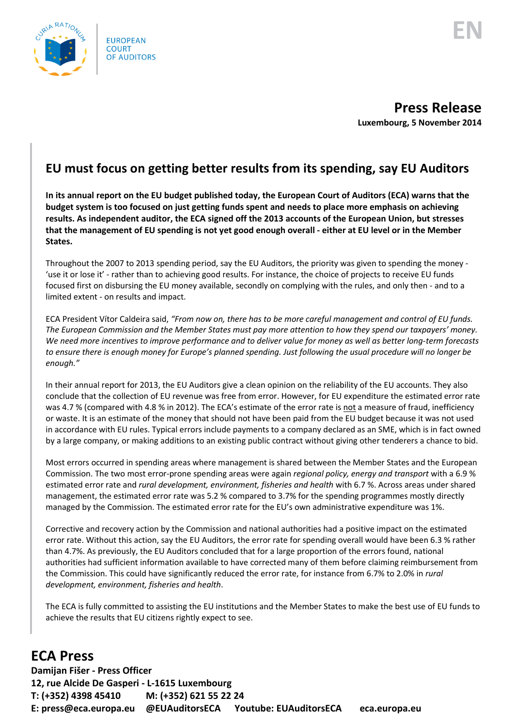

**Press Release Luxembourg, 5 November 2014**

## **EU must focus on getting better results from its spending, say EU Auditors**

**In its annual report on the EU budget published today, the European Court of Auditors (ECA) warns that the budget system is too focused on just getting funds spent and needs to place more emphasis on achieving results. As independent auditor, the ECA signed off the 2013 accounts of the European Union, but stresses that the management of EU spending is not yet good enough overall - either at EU level or in the Member States.** 

Throughout the 2007 to 2013 spending period, say the EU Auditors, the priority was given to spending the money - 'use it or lose it' - rather than to achieving good results. For instance, the choice of projects to receive EU funds focused first on disbursing the EU money available, secondly on complying with the rules, and only then - and to a limited extent - on results and impact.

ECA President Vítor Caldeira said, *"From now on, there has to be more careful management and control of EU funds. The European Commission and the Member States must pay more attention to how they spend our taxpayers' money. We need more incentives to improve performance and to deliver value for money as well as better long-term forecasts*  to ensure there is enough money for Europe's planned spending. Just following the usual procedure will no longer be *enough."* 

In their annual report for 2013, the EU Auditors give a clean opinion on the reliability of the EU accounts. They also conclude that the collection of EU revenue was free from error. However, for EU expenditure the estimated error rate was 4.7 % (compared with 4.8 % in 2012). The ECA's estimate of the error rate is not a measure of fraud, inefficiency or waste. It is an estimate of the money that should not have been paid from the EU budget because it was not used in accordance with EU rules. Typical errors include payments to a company declared as an SME, which is in fact owned by a large company, or making additions to an existing public contract without giving other tenderers a chance to bid.

Most errors occurred in spending areas where management is shared between the Member States and the European Commission. The two most error-prone spending areas were again *regional policy, energy and transport* with a 6.9 % estimated error rate and *rural development, environment, fisheries and health* with 6.7 %. Across areas under shared management, the estimated error rate was 5.2 % compared to 3.7% for the spending programmes mostly directly managed by the Commission. The estimated error rate for the EU's own administrative expenditure was 1%.

Corrective and recovery action by the Commission and national authorities had a positive impact on the estimated error rate. Without this action, say the EU Auditors, the error rate for spending overall would have been 6.3 % rather than 4.7%. As previously, the EU Auditors concluded that for a large proportion of the errors found, national authorities had sufficient information available to have corrected many of them before claiming reimbursement from the Commission. This could have significantly reduced the error rate, for instance from 6.7% to 2.0% in *rural development, environment, fisheries and health*.

The ECA is fully committed to assisting the EU institutions and the Member States to make the best use of EU funds to achieve the results that EU citizens rightly expect to see.

## **ECA Press**

**Damijan Fišer - Press Officer 12, rue Alcide De Gasperi - L-1615 Luxembourg T: (+352) 4398 45410 M: (+352) 621 55 22 24 E: press@eca.europa.eu @EUAuditorsECA Youtube: EUAuditorsECA eca.europa.eu**